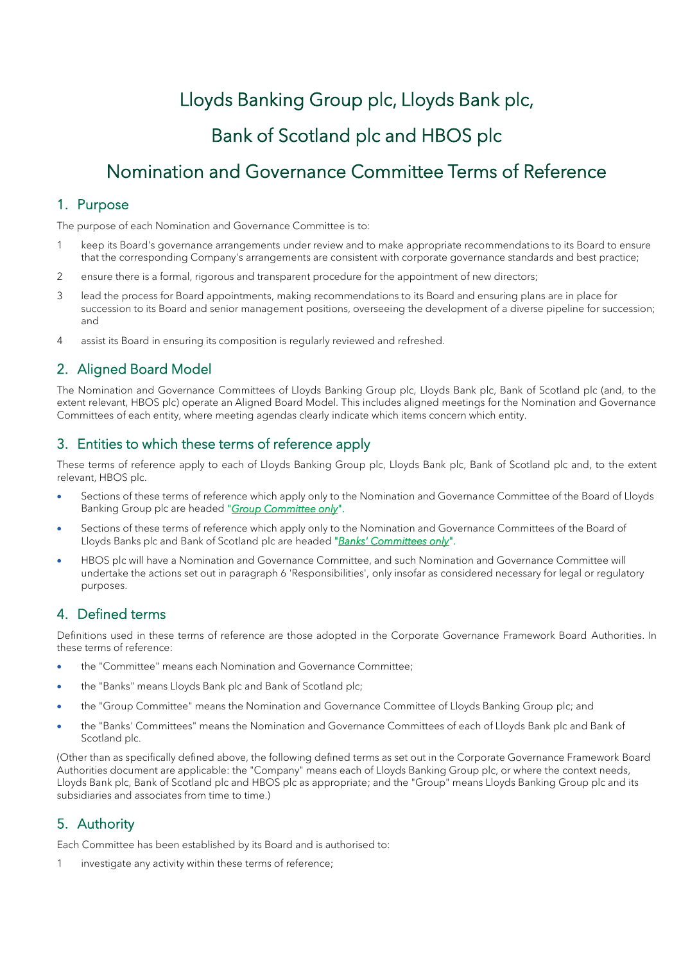# Lloyds Banking Group plc, Lloyds Bank plc,

## Bank of Scotland plc and HBOS plc

## Nomination and Governance Committee Terms of Reference

## 1. Purpose

The purpose of each Nomination and Governance Committee is to:

- 1 keep its Board's governance arrangements under review and to make appropriate recommendations to its Board to ensure that the corresponding Company's arrangements are consistent with corporate governance standards and best practice;
- 2 ensure there is a formal, rigorous and transparent procedure for the appointment of new directors;
- 3 lead the process for Board appointments, making recommendations to its Board and ensuring plans are in place for succession to its Board and senior management positions, overseeing the development of a diverse pipeline for succession; and
- 4 assist its Board in ensuring its composition is regularly reviewed and refreshed.

## 2. Aligned Board Model

The Nomination and Governance Committees of Lloyds Banking Group plc, Lloyds Bank plc, Bank of Scotland plc (and, to the extent relevant, HBOS plc) operate an Aligned Board Model. This includes aligned meetings for the Nomination and Governance Committees of each entity, where meeting agendas clearly indicate which items concern which entity.

## 3. Entities to which these terms of reference apply

These terms of reference apply to each of Lloyds Banking Group plc, Lloyds Bank plc, Bank of Scotland plc and, to the extent relevant, HBOS plc.

- Sections of these terms of reference which apply only to the Nomination and Governance Committee of the Board of Lloyds Banking Group plc are headed "*Group Committee only*".
- Sections of these terms of reference which apply only to the Nomination and Governance Committees of the Board of Lloyds Banks plc and Bank of Scotland plc are headed "*Banks' Committees only*".
- HBOS plc will have a Nomination and Governance Committee, and such Nomination and Governance Committee will undertake the actions set out in paragraph 6 'Responsibilities', only insofar as considered necessary for legal or regulatory purposes.

## 4. Defined terms

Definitions used in these terms of reference are those adopted in the Corporate Governance Framework Board Authorities. In these terms of reference:

- the "Committee" means each Nomination and Governance Committee;
- the "Banks" means Lloyds Bank plc and Bank of Scotland plc;
- the "Group Committee" means the Nomination and Governance Committee of Lloyds Banking Group plc; and
- the "Banks' Committees" means the Nomination and Governance Committees of each of Lloyds Bank plc and Bank of Scotland plc.

(Other than as specifically defined above, the following defined terms as set out in the Corporate Governance Framework Board Authorities document are applicable: the "Company" means each of Lloyds Banking Group plc, or where the context needs, Lloyds Bank plc, Bank of Scotland plc and HBOS plc as appropriate; and the "Group" means Lloyds Banking Group plc and its subsidiaries and associates from time to time.)

## 5. Authority

Each Committee has been established by its Board and is authorised to:

investigate any activity within these terms of reference;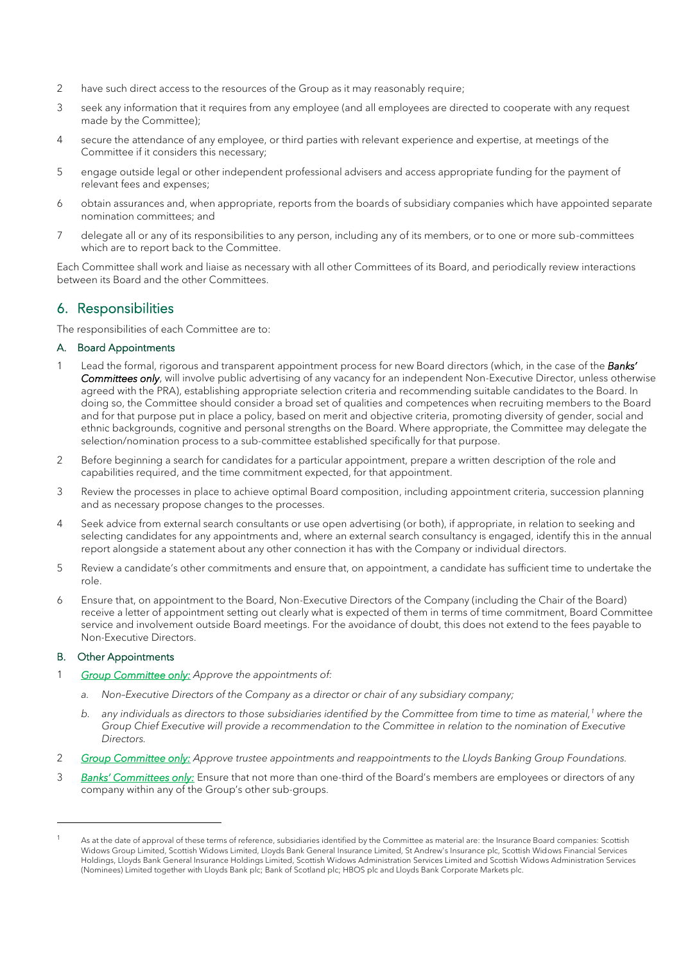- 2 have such direct access to the resources of the Group as it may reasonably require;
- 3 seek any information that it requires from any employee (and all employees are directed to cooperate with any request made by the Committee);
- 4 secure the attendance of any employee, or third parties with relevant experience and expertise, at meetings of the Committee if it considers this necessary;
- 5 engage outside legal or other independent professional advisers and access appropriate funding for the payment of relevant fees and expenses;
- 6 obtain assurances and, when appropriate, reports from the boards of subsidiary companies which have appointed separate nomination committees; and
- 7 delegate all or any of its responsibilities to any person, including any of its members, or to one or more sub-committees which are to report back to the Committee.

Each Committee shall work and liaise as necessary with all other Committees of its Board, and periodically review interactions between its Board and the other Committees.

## 6. Responsibilities

The responsibilities of each Committee are to:

#### A. Board Appointments

- 1 Lead the formal, rigorous and transparent appointment process for new Board directors (which, in the case of the *Banks' Committees only*, will involve public advertising of any vacancy for an independent Non-Executive Director, unless otherwise agreed with the PRA), establishing appropriate selection criteria and recommending suitable candidates to the Board. In doing so, the Committee should consider a broad set of qualities and competences when recruiting members to the Board and for that purpose put in place a policy, based on merit and objective criteria, promoting diversity of gender, social and ethnic backgrounds, cognitive and personal strengths on the Board. Where appropriate, the Committee may delegate the selection/nomination process to a sub-committee established specifically for that purpose.
- 2 Before beginning a search for candidates for a particular appointment, prepare a written description of the role and capabilities required, and the time commitment expected, for that appointment.
- 3 Review the processes in place to achieve optimal Board composition, including appointment criteria, succession planning and as necessary propose changes to the processes.
- 4 Seek advice from external search consultants or use open advertising (or both), if appropriate, in relation to seeking and selecting candidates for any appointments and, where an external search consultancy is engaged, identify this in the annual report alongside a statement about any other connection it has with the Company or individual directors.
- 5 Review a candidate's other commitments and ensure that, on appointment, a candidate has sufficient time to undertake the role.
- 6 Ensure that, on appointment to the Board, Non-Executive Directors of the Company (including the Chair of the Board) receive a letter of appointment setting out clearly what is expected of them in terms of time commitment, Board Committee service and involvement outside Board meetings. For the avoidance of doubt, this does not extend to the fees payable to Non-Executive Directors.

#### B. Other Appointments

- 1 *Group Committee only: Approve the appointments of:* 
	- *a. Non–Executive Directors of the Company as a director or chair of any subsidiary company;*
	- *b. any individuals as directors to those subsidiaries identified by the Committee from time to time as material,<sup>1</sup> where the Group Chief Executive will provide a recommendation to the Committee in relation to the nomination of Executive Directors.*
- 2 *Group Committee only: Approve trustee appointments and reappointments to the Lloyds Banking Group Foundations.*
- 3 *Banks' Committees only:* Ensure that not more than one-third of the Board's members are employees or directors of any company within any of the Group's other sub-groups.

As at the date of approval of these terms of reference, subsidiaries identified by the Committee as material are: the Insurance Board companies: Scottish Widows Group Limited, Scottish Widows Limited, Lloyds Bank General Insurance Limited, St Andrew's Insurance plc, Scottish Widows Financial Services Holdings, Lloyds Bank General Insurance Holdings Limited, Scottish Widows Administration Services Limited and Scottish Widows Administration Services (Nominees) Limited together with Lloyds Bank plc; Bank of Scotland plc; HBOS plc and Lloyds Bank Corporate Markets plc.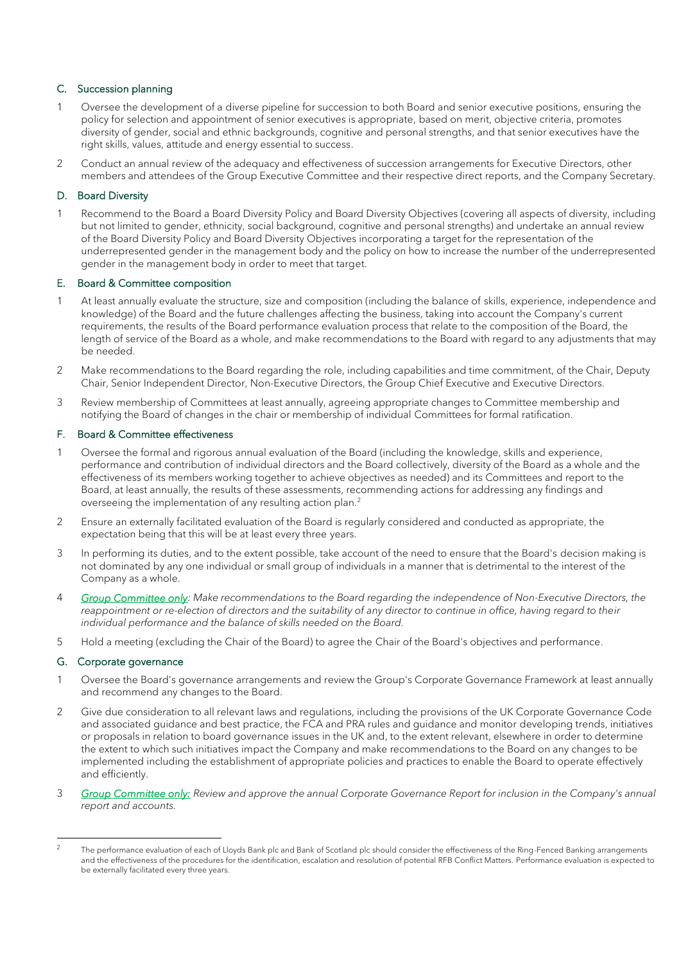#### C. Succession planning

- Oversee the development of a diverse pipeline for succession to both Board and senior executive positions, ensuring the policy for selection and appointment of senior executives is appropriate, based on merit, objective criteria, promotes diversity of gender, social and ethnic backgrounds, cognitive and personal strengths, and that senior executives have the right skills, values, attitude and energy essential to success.
- 2 Conduct an annual review of the adequacy and effectiveness of succession arrangements for Executive Directors, other members and attendees of the Group Executive Committee and their respective direct reports, and the Company Secretary.

#### D. Board Diversity

1 Recommend to the Board a Board Diversity Policy and Board Diversity Objectives (covering all aspects of diversity, including but not limited to gender, ethnicity, social background, cognitive and personal strengths) and undertake an annual review of the Board Diversity Policy and Board Diversity Objectives incorporating a target for the representation of the underrepresented gender in the management body and the policy on how to increase the number of the underrepresented gender in the management body in order to meet that target.

#### E. Board & Committee composition

- 1 At least annually evaluate the structure, size and composition (including the balance of skills, experience, independence and knowledge) of the Board and the future challenges affecting the business, taking into account the Company's current requirements, the results of the Board performance evaluation process that relate to the composition of the Board, the length of service of the Board as a whole, and make recommendations to the Board with regard to any adjustments that may be needed.
- 2 Make recommendations to the Board regarding the role, including capabilities and time commitment, of the Chair, Deputy Chair, Senior Independent Director, Non-Executive Directors, the Group Chief Executive and Executive Directors.
- 3 Review membership of Committees at least annually, agreeing appropriate changes to Committee membership and notifying the Board of changes in the chair or membership of individual Committees for formal ratification.

#### F. Board & Committee effectiveness

- 1 Oversee the formal and rigorous annual evaluation of the Board (including the knowledge, skills and experience, performance and contribution of individual directors and the Board collectively, diversity of the Board as a whole and the effectiveness of its members working together to achieve objectives as needed) and its Committees and report to the Board, at least annually, the results of these assessments, recommending actions for addressing any findings and overseeing the implementation of any resulting action plan.<sup>2</sup>
- 2 Ensure an externally facilitated evaluation of the Board is regularly considered and conducted as appropriate, the expectation being that this will be at least every three years.
- 3 In performing its duties, and to the extent possible, take account of the need to ensure that the Board's decision making is not dominated by any one individual or small group of individuals in a manner that is detrimental to the interest of the Company as a whole.
- 4 *Group Committee only: Make recommendations to the Board regarding the independence of Non-Executive Directors, the*  reappointment or re-election of directors and the suitability of any director to continue in office, having regard to their *individual performance and the balance of skills needed on the Board.*
- 5 Hold a meeting (excluding the Chair of the Board) to agree the Chair of the Board's objectives and performance.

#### G. Corporate governance

- 1 Oversee the Board's governance arrangements and review the Group's Corporate Governance Framework at least annually and recommend any changes to the Board.
- 2 Give due consideration to all relevant laws and regulations, including the provisions of the UK Corporate Governance Code and associated guidance and best practice, the FCA and PRA rules and guidance and monitor developing trends, initiatives or proposals in relation to board governance issues in the UK and, to the extent relevant, elsewhere in order to determine the extent to which such initiatives impact the Company and make recommendations to the Board on any changes to be implemented including the establishment of appropriate policies and practices to enable the Board to operate effectively and efficiently.
- 3 *Group Committee only: Review and approve the annual Corporate Governance Report for inclusion in the Company's annual report and accounts.*

<sup>2</sup> The performance evaluation of each of Lloyds Bank plc and Bank of Scotland plc should consider the effectiveness of the Ring-Fenced Banking arrangements and the effectiveness of the procedures for the identification, escalation and resolution of potential RFB Conflict Matters. Performance evaluation is expected to be externally facilitated every three years.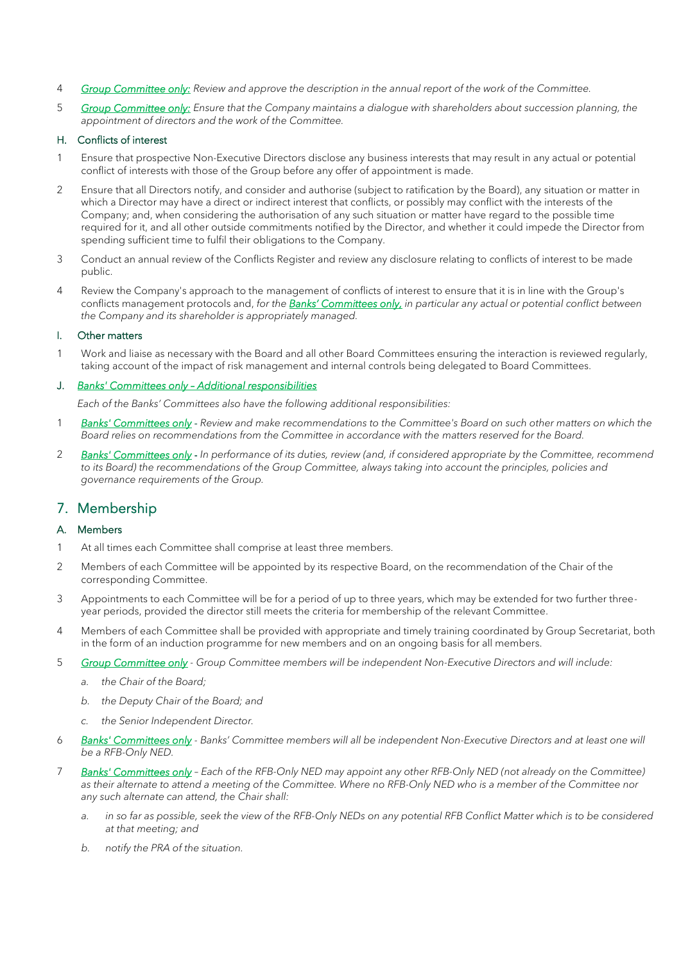- 4 *Group Committee only: Review and approve the description in the annual report of the work of the Committee.*
- 5 *Group Committee only: Ensure that the Company maintains a dialogue with shareholders about succession planning, the appointment of directors and the work of the Committee.*

#### H. Conflicts of interest

- 1 Ensure that prospective Non-Executive Directors disclose any business interests that may result in any actual or potential conflict of interests with those of the Group before any offer of appointment is made.
- 2 Ensure that all Directors notify, and consider and authorise (subject to ratification by the Board), any situation or matter in which a Director may have a direct or indirect interest that conflicts, or possibly may conflict with the interests of the Company; and, when considering the authorisation of any such situation or matter have regard to the possible time required for it, and all other outside commitments notified by the Director, and whether it could impede the Director from spending sufficient time to fulfil their obligations to the Company.
- 3 Conduct an annual review of the Conflicts Register and review any disclosure relating to conflicts of interest to be made public.
- 4 Review the Company's approach to the management of conflicts of interest to ensure that it is in line with the Group's conflicts management protocols and, *for the Banks' Committees only, in particular any actual or potential conflict between the Company and its shareholder is appropriately managed.*

#### I. Other matters

Work and liaise as necessary with the Board and all other Board Committees ensuring the interaction is reviewed regularly, taking account of the impact of risk management and internal controls being delegated to Board Committees.

#### J. *Banks' Committees only – Additional responsibilities*

*Each of the Banks' Committees also have the following additional responsibilities:*

- 1 *Banks' Committees only Review and make recommendations to the Committee's Board on such other matters on which the Board relies on recommendations from the Committee in accordance with the matters reserved for the Board.*
- 2 *Banks' Committees only In performance of its duties, review (and, if considered appropriate by the Committee, recommend to its Board) the recommendations of the Group Committee, always taking into account the principles, policies and governance requirements of the Group.*

### 7. Membership

#### A. Members

- 1 At all times each Committee shall comprise at least three members.
- 2 Members of each Committee will be appointed by its respective Board, on the recommendation of the Chair of the corresponding Committee.
- 3 Appointments to each Committee will be for a period of up to three years, which may be extended for two further threeyear periods, provided the director still meets the criteria for membership of the relevant Committee.
- 4 Members of each Committee shall be provided with appropriate and timely training coordinated by Group Secretariat, both in the form of an induction programme for new members and on an ongoing basis for all members.
- 5 *Group Committee only - Group Committee members will be independent Non-Executive Directors and will include:*
	- *a. the Chair of the Board;*
	- *b. the Deputy Chair of the Board; and*
	- *c. the Senior Independent Director.*
- 6 *Banks' Committees only Banks' Committee members will all be independent Non-Executive Directors and at least one will be a RFB-Only NED.*
- 7 *Banks' Committees only – Each of the RFB-Only NED may appoint any other RFB-Only NED (not already on the Committee) as their alternate to attend a meeting of the Committee. Where no RFB-Only NED who is a member of the Committee nor any such alternate can attend, the Chair shall:* 
	- *a. in so far as possible, seek the view of the RFB-Only NEDs on any potential RFB Conflict Matter which is to be considered at that meeting; and*
	- *b. notify the PRA of the situation.*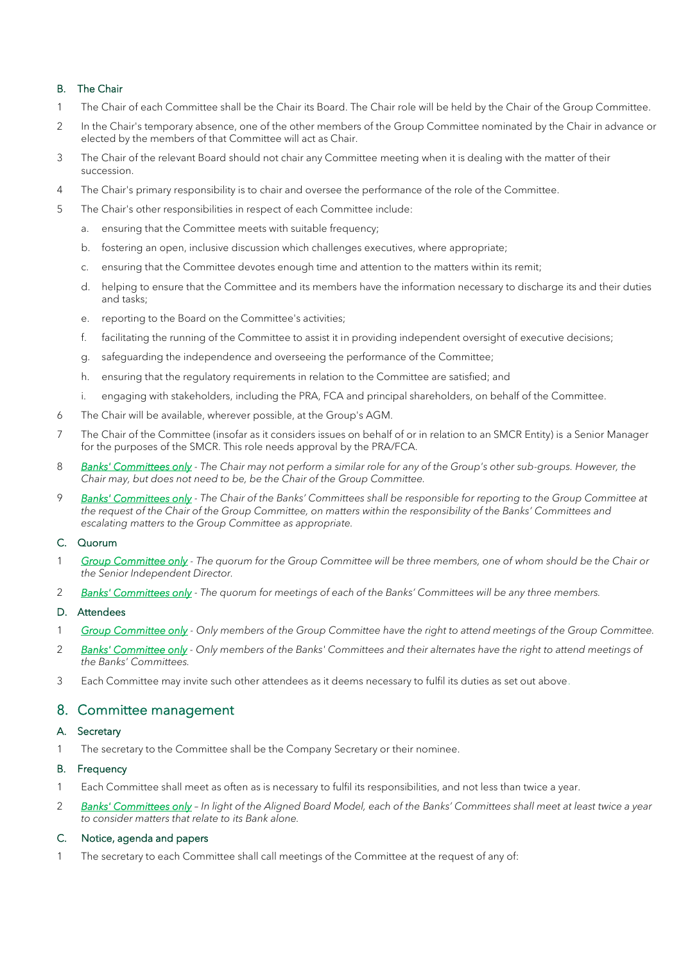#### B. The Chair

- 1 The Chair of each Committee shall be the Chair its Board. The Chair role will be held by the Chair of the Group Committee.
- 2 In the Chair's temporary absence, one of the other members of the Group Committee nominated by the Chair in advance or elected by the members of that Committee will act as Chair.
- 3 The Chair of the relevant Board should not chair any Committee meeting when it is dealing with the matter of their succession.
- 4 The Chair's primary responsibility is to chair and oversee the performance of the role of the Committee.
- 5 The Chair's other responsibilities in respect of each Committee include:
	- a. ensuring that the Committee meets with suitable frequency;
	- b. fostering an open, inclusive discussion which challenges executives, where appropriate;
	- c. ensuring that the Committee devotes enough time and attention to the matters within its remit;
	- d. helping to ensure that the Committee and its members have the information necessary to discharge its and their duties and tasks;
	- e. reporting to the Board on the Committee's activities;
	- f. facilitating the running of the Committee to assist it in providing independent oversight of executive decisions;
	- g. safeguarding the independence and overseeing the performance of the Committee;
	- h. ensuring that the regulatory requirements in relation to the Committee are satisfied; and
	- i. engaging with stakeholders, including the PRA, FCA and principal shareholders, on behalf of the Committee.
- 6 The Chair will be available, wherever possible, at the Group's AGM.
- 7 The Chair of the Committee (insofar as it considers issues on behalf of or in relation to an SMCR Entity) is a Senior Manager for the purposes of the SMCR. This role needs approval by the PRA/FCA.
- 8 *Banks' Committees only - The Chair may not perform a similar role for any of the Group's other sub-groups. However, the Chair may, but does not need to be, be the Chair of the Group Committee.*
- 9 *Banks' Committees only - The Chair of the Banks' Committees shall be responsible for reporting to the Group Committee at the request of the Chair of the Group Committee, on matters within the responsibility of the Banks' Committees and escalating matters to the Group Committee as appropriate.*

#### C. Quorum

- 1 *Group Committee only - The quorum for the Group Committee will be three members, one of whom should be the Chair or the Senior Independent Director.*
- 2 *Banks' Committees only - The quorum for meetings of each of the Banks' Committees will be any three members.*

#### D. Attendees

- 1 *Group Committee only - Only members of the Group Committee have the right to attend meetings of the Group Committee.*
- 2 *Banks' Committee only - Only members of the Banks' Committees and their alternates have the right to attend meetings of the Banks' Committees.*
- 3 Each Committee may invite such other attendees as it deems necessary to fulfil its duties as set out above.

### 8. Committee management

#### A. Secretary

1 The secretary to the Committee shall be the Company Secretary or their nominee.

#### B. Frequency

- 1 Each Committee shall meet as often as is necessary to fulfil its responsibilities, and not less than twice a year.
- 2 *Banks' Committees only – In light of the Aligned Board Model, each of the Banks' Committees shall meet at least twice a year to consider matters that relate to its Bank alone.*

#### C. Notice, agenda and papers

1 The secretary to each Committee shall call meetings of the Committee at the request of any of: